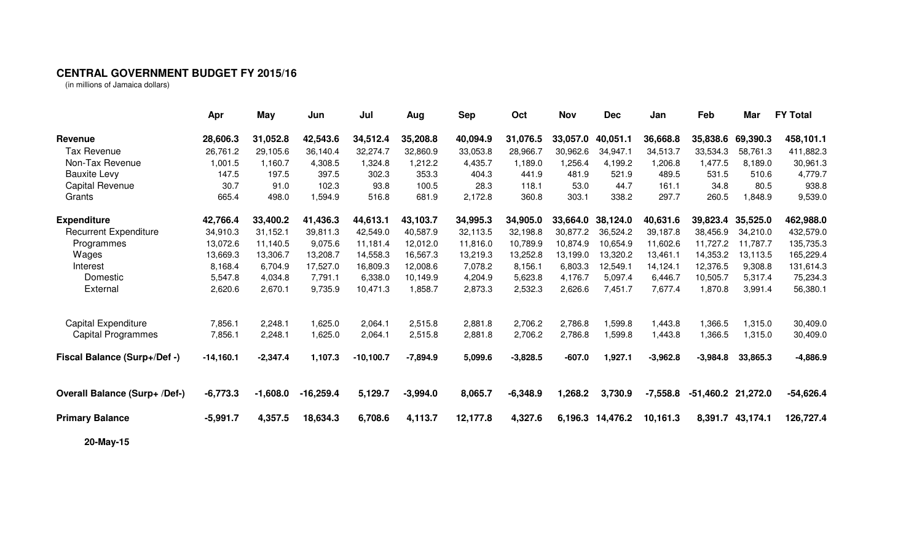## **CENTRAL GOVERNMENT BUDGET FY 2015/16**

(in millions of Jamaica dollars)

|                                      | Apr         | <b>May</b> | Jun         | Jul         | Aug        | <b>Sep</b> | Oct        | <b>Nov</b> | <b>Dec</b> | Jan        | Feb                | Mar              | <b>FY Total</b> |
|--------------------------------------|-------------|------------|-------------|-------------|------------|------------|------------|------------|------------|------------|--------------------|------------------|-----------------|
| Revenue                              | 28,606.3    | 31,052.8   | 42,543.6    | 34,512.4    | 35,208.8   | 40,094.9   | 31,076.5   | 33,057.0   | 40,051.1   | 36,668.8   | 35,838.6           | 69,390.3         | 458,101.1       |
| <b>Tax Revenue</b>                   | 26,761.2    | 29,105.6   | 36,140.4    | 32,274.7    | 32,860.9   | 33,053.8   | 28,966.7   | 30,962.6   | 34,947.1   | 34,513.7   | 33,534.3           | 58,761.3         | 411,882.3       |
| Non-Tax Revenue                      | 1,001.5     | 1,160.7    | 4,308.5     | 1,324.8     | 1,212.2    | 4,435.7    | 1,189.0    | 1,256.4    | 4,199.2    | 1,206.8    | 1,477.5            | 8,189.0          | 30,961.3        |
| <b>Bauxite Levy</b>                  | 147.5       | 197.5      | 397.5       | 302.3       | 353.3      | 404.3      | 441.9      | 481.9      | 521.9      | 489.5      | 531.5              | 510.6            | 4,779.7         |
| Capital Revenue                      | 30.7        | 91.0       | 102.3       | 93.8        | 100.5      | 28.3       | 118.1      | 53.0       | 44.7       | 161.1      | 34.8               | 80.5             | 938.8           |
| Grants                               | 665.4       | 498.0      | 1,594.9     | 516.8       | 681.9      | 2,172.8    | 360.8      | 303.1      | 338.2      | 297.7      | 260.5              | 1,848.9          | 9,539.0         |
| <b>Expenditure</b>                   | 42,766.4    | 33,400.2   | 41,436.3    | 44,613.1    | 43,103.7   | 34,995.3   | 34,905.0   | 33,664.0   | 38,124.0   | 40,631.6   | 39,823.4           | 35,525.0         | 462,988.0       |
| <b>Recurrent Expenditure</b>         | 34,910.3    | 31,152.1   | 39,811.3    | 42,549.0    | 40,587.9   | 32,113.5   | 32,198.8   | 30,877.2   | 36,524.2   | 39,187.8   | 38,456.9           | 34,210.0         | 432,579.0       |
| Programmes                           | 13,072.6    | 11.140.5   | 9,075.6     | 11,181.4    | 12,012.0   | 11,816.0   | 10,789.9   | 10,874.9   | 10,654.9   | 11,602.6   | 11,727.2           | 11.787.7         | 135,735.3       |
| Wages                                | 13,669.3    | 13,306.7   | 13,208.7    | 14,558.3    | 16,567.3   | 13,219.3   | 13,252.8   | 13,199.0   | 13,320.2   | 13,461.1   | 14,353.2           | 13,113.5         | 165,229.4       |
| Interest                             | 8,168.4     | 6,704.9    | 17,527.0    | 16,809.3    | 12,008.6   | 7,078.2    | 8,156.1    | 6,803.3    | 12,549.1   | 14,124.1   | 12,376.5           | 9,308.8          | 131,614.3       |
| Domestic                             | 5,547.8     | 4,034.8    | 7,791.1     | 6,338.0     | 10,149.9   | 4,204.9    | 5,623.8    | 4,176.7    | 5,097.4    | 6,446.7    | 10,505.7           | 5,317.4          | 75,234.3        |
| External                             | 2,620.6     | 2,670.1    | 9,735.9     | 10,471.3    | 1,858.7    | 2,873.3    | 2,532.3    | 2,626.6    | 7,451.7    | 7,677.4    | 1,870.8            | 3,991.4          | 56,380.1        |
| Capital Expenditure                  | 7,856.1     | 2,248.1    | 1,625.0     | 2,064.1     | 2,515.8    | 2,881.8    | 2,706.2    | 2,786.8    | 1,599.8    | 1,443.8    | 1,366.5            | 1,315.0          | 30,409.0        |
| <b>Capital Programmes</b>            | 7,856.1     | 2,248.1    | 1,625.0     | 2,064.1     | 2,515.8    | 2,881.8    | 2,706.2    | 2,786.8    | 1,599.8    | 1,443.8    | 1,366.5            | 1,315.0          | 30,409.0        |
| Fiscal Balance (Surp+/Def -)         | $-14,160.1$ | $-2,347.4$ | 1,107.3     | $-10,100.7$ | $-7,894.9$ | 5,099.6    | $-3,828.5$ | $-607.0$   | 1,927.1    | $-3,962.8$ | $-3,984.8$         | 33,865.3         | $-4,886.9$      |
| <b>Overall Balance (Surp+ /Def-)</b> | $-6,773.3$  | $-1,608.0$ | $-16,259.4$ | 5,129.7     | $-3,994.0$ | 8,065.7    | $-6,348.9$ | 1,268.2    | 3,730.9    | $-7,558.8$ | -51,460.2 21,272.0 |                  | $-54,626.4$     |
| <b>Primary Balance</b>               | $-5,991.7$  | 4,357.5    | 18,634.3    | 6,708.6     | 4,113.7    | 12,177.8   | 4,327.6    | 6,196.3    | 14,476.2   | 10,161.3   |                    | 8,391.7 43,174.1 | 126,727.4       |
| 20-May-15                            |             |            |             |             |            |            |            |            |            |            |                    |                  |                 |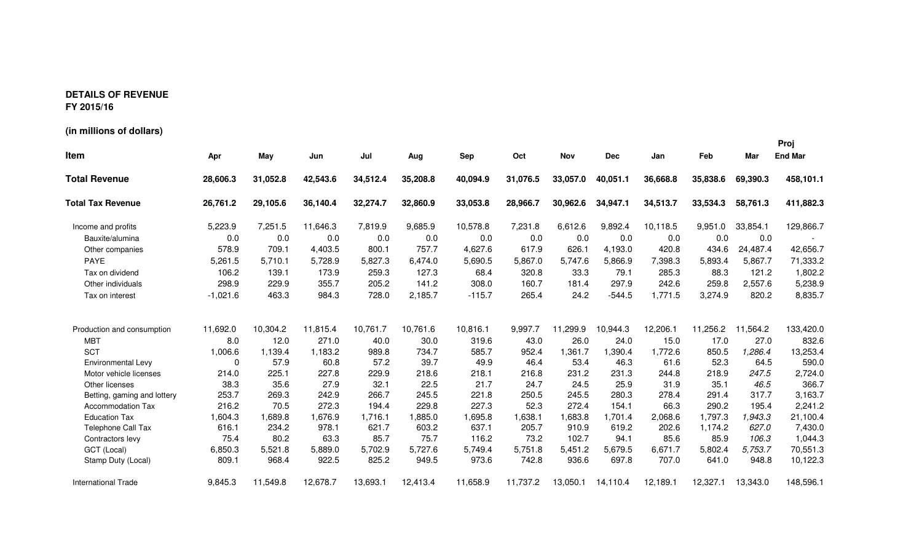## **DETAILS OF REVENUE FY 2015/16**

**(in millions of dollars)**

**ProjItem Apr May Jun Jul Aug Sep Oct Nov Dec Jan Feb Mar End Mar Total Revenue 31,052.8 28,606.3 42,543.6 34,512.4 35,208.8 40,094.9 31,076.5 33,057.0 40,051.1 36,668.8 35,838.6 69,390.3 458,101.1 Total Tax Revenue 26,761.2 29,105.6 36,140.4 32,274.7 32,860.9 33,053.8 28,966.7 30,962.6 34,947.1 34,513.7 33,534.3 58,761.3 411,882.3**Income and profits **5,223.9** 7,251.5 5,223.9 11,646.3 7,819.9 9,685.9 10,578.8 7,231.8 6,612.6 9,892.4 10,118.5 9,951.0 33,854.1 129,866.7 Bauxite/alumina 0.0 0.0 0.0 0.0 0.0 0.0 0.0 0.0 0.0 0.0 0.0 0.0 - Other companies 578.9 709.1 4,403.5 800.1 757.7 4,627.6 617.9 626.1 4,193.04,193.0 420.8 434.6 24,487.4 42,656.7<br>5,866.9 7,398.3 5,893.4 5,867.7 71,333.2 PAYE 5,261.5 5,710.1 5,728.9 5,827.3 6,474.0 5,690.5 5,867.0 5,747.6 5,866.9 7,398.3 5,893.4 5,867.7 71,333.2 Tax on dividend 106.2 139.1 173.9 259.3 127.3 68.4 320.8 33.3 79.1 285.3 88.388.3 121.2 1,802.2<br>259.8 2,557.6 5,238.9 Other individuals 298.9 229.9 355.7 205.2 141.2 308.0 160.7 181.4 297.9 242.6 259.8 2,557.6 5,238.98,835.7 Tax on interest -1,021.6 463.3 984.3 728.0 2,185.7 -115.7 265.4 24.2 -544.5-544.5 1,771.5 3,274.9 820.2 Production and consumption 11,692.0 10,304.2 11,692.0 11,815.4 10,761.7 10,761.6 10,816.1 9,997.7 11,299.9 10,944.3 12,206.1 11,256.2 11,564.2 133,420.0 MBT 8.0 12.0 271.0 40.0 30.0 319.6 43.0 26.0 24.0 15.0 17.0 27.0 832.6 **SCT**  1,006.6 1,139.4 1,183.2 989.8 734.7 585.7 952.4 1,361.7 1,390.4 1,772.6 850.5 1,286.4 13,253.4 Environmental Levy <sup>0</sup> 57.9 60.8 57.2 39.7 49.9 46.4 53.4 46.3 61.6 52.3 64.5 590.09 *247.5* 2,724.0 Motor vehicle licenses 214.0 225.1 227.8 229.9 218.6 218.1 216.8 231.2 231.3 244.8 218.9Other licenses 38.3 35.6 27.9 32.1 22.5 21.7 24.7 24.5 25.9 31.9 35.135.1 46.5 366.7<br>291.4 317.7 3.163.7 Betting, gaming and lottery 253.7 269.3 242.9 266.7 245.5 221.8 250.5 245.5 280.3 278.4 291.4 317.7 3,163.72,241.2 Accommodation Tax 216.2 70.5 272.3 194.4 229.8 227.3 52.3 272.4 154.1 66.3 290.2 195.4 2,241.23 *1,943.3* 21,100.4 Education Tax 1,604.3 1,689.8 1,676.9 1,716.1 1,885.0 1,695.8 1,638.1 1,683.8 1,701.4 2,068.6 1,797.3Telephone Call Tax 616.1 234.2 978.1 621.7 603.2 637.1 205.7 910.9 619.2 202.6 1,174.21,174.2 627.0 7,430.0<br>85.9 106.3 1.044.3 Contractors levy 75.4 80.2 63.3 85.7 75.7 116.2 73.2 102.7 94.1 85.6 85.985.9 106.3 1,044.3<br>5,802.4 5,753.7 70,551.3 GCT (Local) 6,850.3 5,521.8 5,889.0 5,702.9 5,727.6 5,749.4 5,751.8 5,451.2 5,679.5 6,671.7 5,802.4802.4 *5,753.7* 70,551.3<br>641.0 948.8 10,122.3 Stamp Duty (Local) 809.1 968.4 922.5 825.2 949.5 973.6 742.8 936.6 697.8 707.0 641.0 948.8 10,122.3International Trade 11,549.8 9,845.3 12,678.7 13,693.1 12,413.4 11,658.9 11,737.2 13,050.1 14,110.4 12,189.1 12,327.1 13,343.0 148,596.1